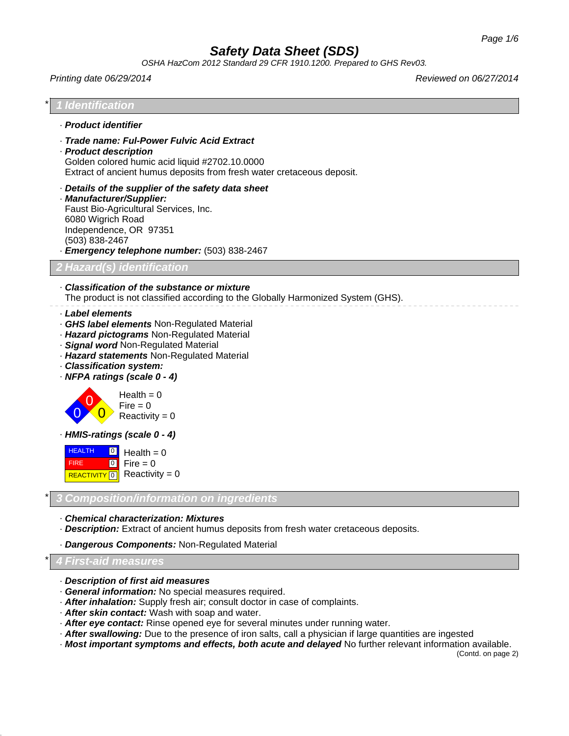*OSHA HazCom 2012 Standard 29 CFR 1910.1200. Prepared to GHS Rev03.*

#### *Printing date 06/29/2014 Reviewed on 06/27/2014*



## \* *4 First-aid measures*

- · *Description of first aid measures*
- · *General information:* No special measures required.
- · *After inhalation:* Supply fresh air; consult doctor in case of complaints.
- · *After skin contact:* Wash with soap and water.
- · *After eye contact:* Rinse opened eye for several minutes under running water.
- · *After swallowing:* Due to the presence of iron salts, call a physician if large quantities are ingested
- · *Most important symptoms and effects, both acute and delayed* No further relevant information available.

(Contd. on page 2)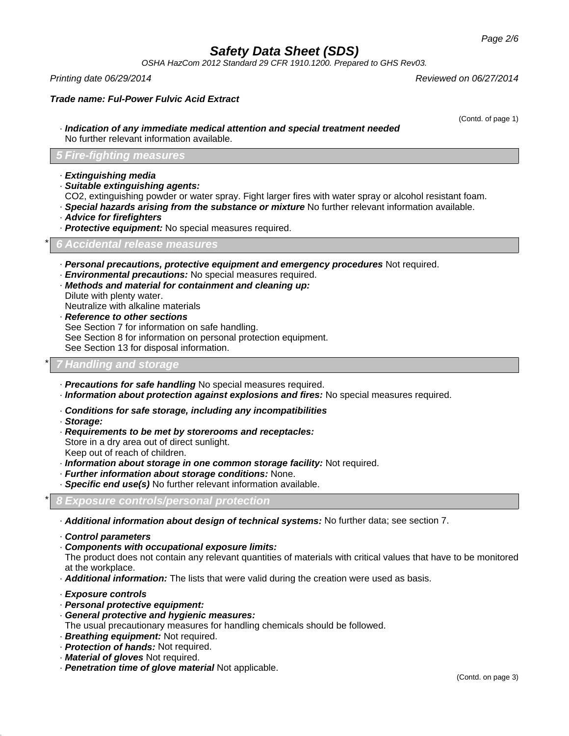*OSHA HazCom 2012 Standard 29 CFR 1910.1200. Prepared to GHS Rev03.*

*Printing date 06/29/2014 Reviewed on 06/27/2014*

*Trade name: Ful-Power Fulvic Acid Extract*

(Contd. of page 1)

· *Indication of any immediate medical attention and special treatment needed* No further relevant information available.

### *5 Fire-fighting measures*

- · *Extinguishing media*
- · *Suitable extinguishing agents:*
- CO2, extinguishing powder or water spray. Fight larger fires with water spray or alcohol resistant foam.
- · *Special hazards arising from the substance or mixture* No further relevant information available.
- · *Advice for firefighters*
- · *Protective equipment:* No special measures required.

\* *6 Accidental release measures*

- · *Personal precautions, protective equipment and emergency procedures* Not required.
- · *Environmental precautions:* No special measures required.
- · *Methods and material for containment and cleaning up:* Dilute with plenty water.
- Neutralize with alkaline materials
- · *Reference to other sections*
- See Section 7 for information on safe handling.
- See Section 8 for information on personal protection equipment.

See Section 13 for disposal information.

## \* *7 Handling and storage*

- · *Precautions for safe handling* No special measures required.
- · *Information about protection against explosions and fires:* No special measures required.
- · *Conditions for safe storage, including any incompatibilities*
- · *Storage:*
- · *Requirements to be met by storerooms and receptacles:* Store in a dry area out of direct sunlight. Keep out of reach of children.
- · *Information about storage in one common storage facility:* Not required.
- · *Further information about storage conditions:* None.
- · *Specific end use(s)* No further relevant information available.
- \* *8 Exposure controls/personal protection*
- · *Additional information about design of technical systems:* No further data; see section 7.
- · *Control parameters*
- · *Components with occupational exposure limits:*

The product does not contain any relevant quantities of materials with critical values that have to be monitored at the workplace.

- · *Additional information:* The lists that were valid during the creation were used as basis.
- · *Exposure controls*
- · *Personal protective equipment:*
- · *General protective and hygienic measures:* The usual precautionary measures for handling chemicals should be followed.
- 
- · *Breathing equipment:* Not required. · *Protection of hands:* Not required.
- 
- · *Material of gloves* Not required.
- · *Penetration time of glove material* Not applicable.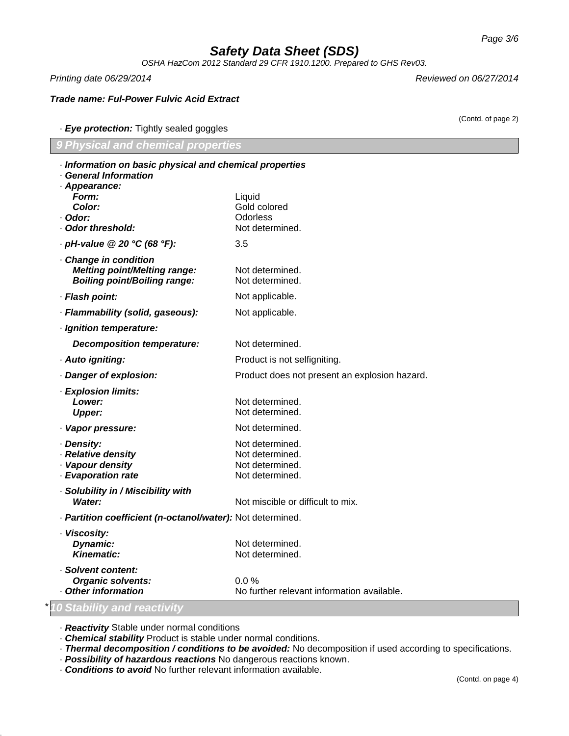*OSHA HazCom 2012 Standard 29 CFR 1910.1200. Prepared to GHS Rev03.*

*Printing date 06/29/2014 Reviewed on 06/27/2014*

*Trade name: Ful-Power Fulvic Acid Extract*

(Contd. of page 2)

## · *Eye protection:* Tightly sealed goggles

| 9 Physical and chemical properties |  |
|------------------------------------|--|
|                                    |  |

| · Information on basic physical and chemical properties<br>· General Information                    |                                                                          |
|-----------------------------------------------------------------------------------------------------|--------------------------------------------------------------------------|
| · Appearance:<br>Form:<br>Color:<br>· Odor:<br>· Odor threshold:                                    | Liquid<br>Gold colored<br><b>Odorless</b><br>Not determined.             |
| $\cdot$ pH-value @ 20 °C (68 °F):                                                                   | 3.5                                                                      |
| · Change in condition<br><b>Melting point/Melting range:</b><br><b>Boiling point/Boiling range:</b> | Not determined.<br>Not determined.                                       |
| · Flash point:                                                                                      | Not applicable.                                                          |
| · Flammability (solid, gaseous):                                                                    | Not applicable.                                                          |
| · Ignition temperature:                                                                             |                                                                          |
| <b>Decomposition temperature:</b>                                                                   | Not determined.                                                          |
| · Auto igniting:                                                                                    | Product is not selfigniting.                                             |
| · Danger of explosion:                                                                              | Product does not present an explosion hazard.                            |
| · Explosion limits:<br>Lower:<br><b>Upper:</b>                                                      | Not determined.<br>Not determined.                                       |
| · Vapor pressure:                                                                                   | Not determined.                                                          |
| · Density:<br>· Relative density<br>· Vapour density<br>· Evaporation rate                          | Not determined.<br>Not determined.<br>Not determined.<br>Not determined. |
| · Solubility in / Miscibility with<br>Water:                                                        | Not miscible or difficult to mix.                                        |
| · Partition coefficient (n-octanol/water): Not determined.                                          |                                                                          |
| · Viscosity:<br>Dynamic:<br>Kinematic:                                                              | Not determined.<br>Not determined.                                       |
| · Solvent content:<br><b>Organic solvents:</b><br><b>Other information</b>                          | $0.0\%$<br>No further relevant information available.                    |

· *Reactivity* Stable under normal conditions

· *Chemical stability* Product is stable under normal conditions.

· *Thermal decomposition / conditions to be avoided:* No decomposition if used according to specifications.

· *Possibility of hazardous reactions* No dangerous reactions known.

· *Conditions to avoid* No further relevant information available.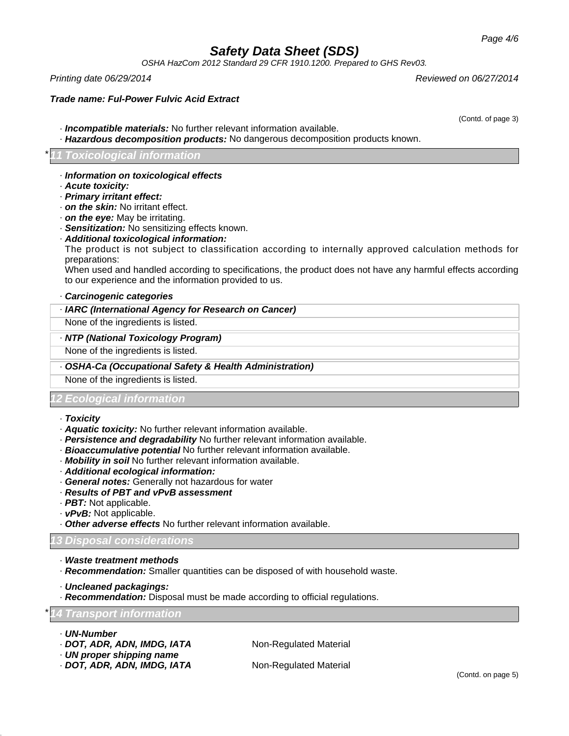*OSHA HazCom 2012 Standard 29 CFR 1910.1200. Prepared to GHS Rev03.*

*Printing date 06/29/2014 Reviewed on 06/27/2014*

### *Trade name: Ful-Power Fulvic Acid Extract*

· *Incompatible materials:* No further relevant information available.

· *Hazardous decomposition products:* No dangerous decomposition products known.

### \* *11 Toxicological information*

- · *Information on toxicological effects*
- · *Acute toxicity:*
- · *Primary irritant effect:*
- · *on the skin:* No irritant effect.
- · *on the eye:* May be irritating.

· *Sensitization:* No sensitizing effects known.

## · *Additional toxicological information:*

The product is not subject to classification according to internally approved calculation methods for preparations:

When used and handled according to specifications, the product does not have any harmful effects according to our experience and the information provided to us.

#### · *Carcinogenic categories*

### · *IARC (International Agency for Research on Cancer)*

None of the ingredients is listed.

#### · *NTP (National Toxicology Program)*

None of the ingredients is listed.

#### · *OSHA-Ca (Occupational Safety & Health Administration)*

None of the ingredients is listed.

### *12 Ecological information*

- · *Toxicity*
- · *Aquatic toxicity:* No further relevant information available.
- · *Persistence and degradability* No further relevant information available.
- · *Bioaccumulative potential* No further relevant information available.
- · *Mobility in soil* No further relevant information available.
- · *Additional ecological information:*
- · *General notes:* Generally not hazardous for water
- · *Results of PBT and vPvB assessment*
- · *PBT:* Not applicable.
- · *vPvB:* Not applicable.
- · *Other adverse effects* No further relevant information available.

#### *13 Disposal considerations*

- · *Waste treatment methods*
- · *Recommendation:* Smaller quantities can be disposed of with household waste.
- · *Uncleaned packagings:*
- · *Recommendation:* Disposal must be made according to official regulations.

#### \* *14 Transport information*

- · *UN-Number*
- · **DOT, ADR, ADN, IMDG, IATA** Non-Regulated Material
- · *UN proper shipping name*
- · **DOT, ADR, ADN, IMDG, IATA** Non-Regulated Material

(Contd. of page 3)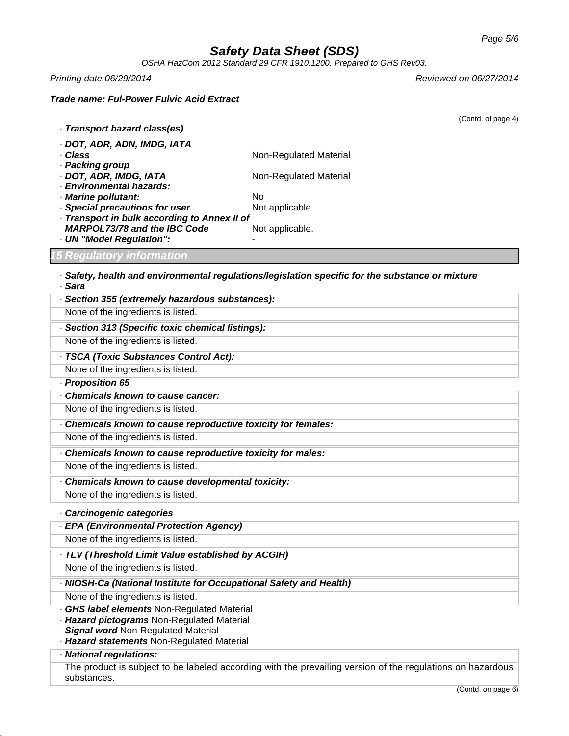*OSHA HazCom 2012 Standard 29 CFR 1910.1200. Prepared to GHS Rev03.*

*Printing date 06/29/2014 Reviewed on 06/27/2014*

## *Trade name: Ful-Power Fulvic Acid Extract*

|                                                                                    | (Contd. of page 4)                                                                                         |
|------------------------------------------------------------------------------------|------------------------------------------------------------------------------------------------------------|
| · Transport hazard class(es)                                                       |                                                                                                            |
| · DOT, ADR, ADN, IMDG, IATA                                                        |                                                                                                            |
| · Class<br>· Packing group                                                         | Non-Regulated Material                                                                                     |
| · DOT, ADR, IMDG, IATA                                                             | Non-Regulated Material                                                                                     |
| · Environmental hazards:                                                           |                                                                                                            |
| · Marine pollutant:                                                                | <b>No</b>                                                                                                  |
| · Special precautions for user<br>- Transport in bulk according to Annex II of     | Not applicable.                                                                                            |
| <b>MARPOL73/78 and the IBC Code</b>                                                | Not applicable.                                                                                            |
| · UN "Model Regulation":                                                           |                                                                                                            |
| <b>15 Regulatory information</b>                                                   |                                                                                                            |
| . Sara                                                                             | · Safety, health and environmental regulations/legislation specific for the substance or mixture           |
| · Section 355 (extremely hazardous substances):                                    |                                                                                                            |
| None of the ingredients is listed.                                                 |                                                                                                            |
| · Section 313 (Specific toxic chemical listings):                                  |                                                                                                            |
| None of the ingredients is listed.                                                 |                                                                                                            |
| - TSCA (Toxic Substances Control Act):                                             |                                                                                                            |
| None of the ingredients is listed.                                                 |                                                                                                            |
| - Proposition 65                                                                   |                                                                                                            |
| Chemicals known to cause cancer:                                                   |                                                                                                            |
| None of the ingredients is listed.                                                 |                                                                                                            |
| Chemicals known to cause reproductive toxicity for females:                        |                                                                                                            |
| None of the ingredients is listed.                                                 |                                                                                                            |
| Chemicals known to cause reproductive toxicity for males:                          |                                                                                                            |
| None of the ingredients is listed.                                                 |                                                                                                            |
| Chemicals known to cause developmental toxicity:                                   |                                                                                                            |
| None of the ingredients is listed.                                                 |                                                                                                            |
| · Carcinogenic categories                                                          |                                                                                                            |
| - EPA (Environmental Protection Agency)                                            |                                                                                                            |
| None of the ingredients is listed.                                                 |                                                                                                            |
| · TLV (Threshold Limit Value established by ACGIH)                                 |                                                                                                            |
| None of the ingredients is listed.                                                 |                                                                                                            |
| · NIOSH-Ca (National Institute for Occupational Safety and Health)                 |                                                                                                            |
| None of the ingredients is listed.                                                 |                                                                                                            |
| <b>GHS label elements Non-Regulated Material</b>                                   |                                                                                                            |
| · Hazard pictograms Non-Regulated Material                                         |                                                                                                            |
| · Signal word Non-Regulated Material<br>· Hazard statements Non-Regulated Material |                                                                                                            |
| · National regulations:                                                            |                                                                                                            |
|                                                                                    | The product is subject to be labeled according with the prevailing version of the regulations on hazardous |
| substances.                                                                        |                                                                                                            |